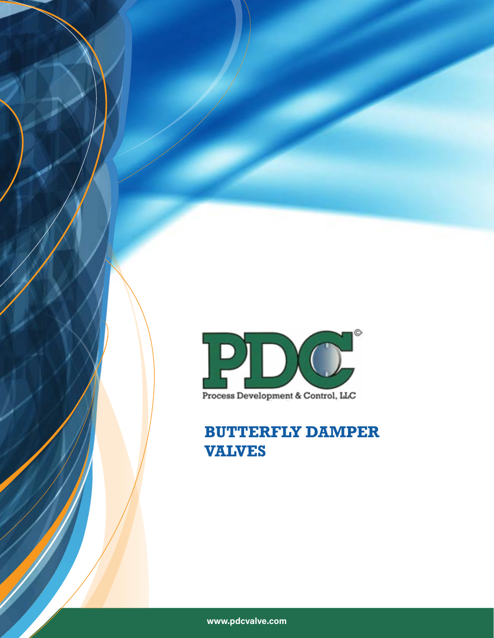

Process Development & Control, LLC

**BUTTERFLY DAMPER VALVES**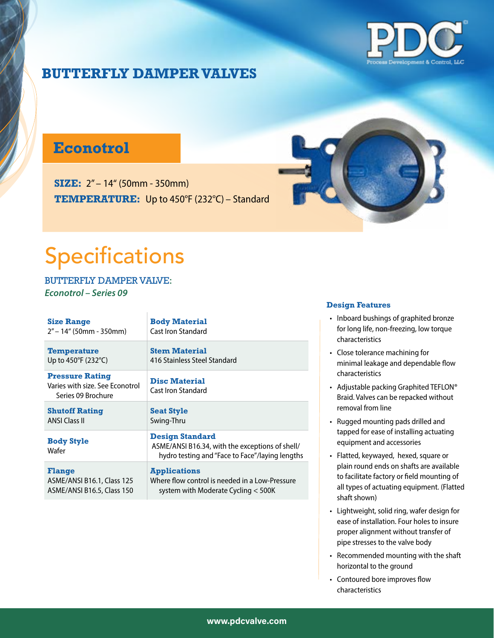

## **Econotrol**

**SIZE:** 2" – 14" (50mm - 350mm) **TEMPERATURE:** Up to 450°F (232°C) – Standard



# Specifications

BUTTERFLY DAMPER VALVE: *Econotrol – Series 09*

| <b>Size Range</b>                                                               | <b>Body Material</b>                                                                                                         |
|---------------------------------------------------------------------------------|------------------------------------------------------------------------------------------------------------------------------|
| 2" – 14" (50mm - 350mm)                                                         | Cast Iron Standard                                                                                                           |
| <b>Temperature</b>                                                              | <b>Stem Material</b>                                                                                                         |
| Up to 450°F (232°C)                                                             | 416 Stainless Steel Standard                                                                                                 |
| <b>Pressure Rating</b><br>Varies with size. See Econotrol<br>Series 09 Brochure | <b>Disc Material</b><br>Cast Iron Standard                                                                                   |
| <b>Shutoff Rating</b>                                                           | <b>Seat Style</b>                                                                                                            |
| <b>ANSI Class II</b>                                                            | Swing-Thru                                                                                                                   |
| <b>Body Style</b><br>Wafer                                                      | <b>Design Standard</b><br>ASME/ANSI B16.34, with the exceptions of shell/<br>hydro testing and "Face to Face"/laying lengths |
| <b>Flange</b>                                                                   | <b>Applications</b>                                                                                                          |
| ASME/ANSI B16.1, Class 125                                                      | Where flow control is needed in a Low-Pressure                                                                               |
| ASME/ANSI B16.5, Class 150                                                      | system with Moderate Cycling $<$ 500K                                                                                        |

- Inboard bushings of graphited bronze for long life, non-freezing, low torque characteristics
- Close tolerance machining for minimal leakage and dependable flow characteristics
- Adjustable packing Graphited TEFLON® Braid. Valves can be repacked without removal from line
- Rugged mounting pads drilled and tapped for ease of installing actuating equipment and accessories
- Flatted, keywayed, hexed, square or plain round ends on shafts are available to facilitate factory or field mounting of all types of actuating equipment. (Flatted shaft shown)
- Lightweight, solid ring, wafer design for ease of installation. Four holes to insure proper alignment without transfer of pipe stresses to the valve body
- Recommended mounting with the shaft horizontal to the ground
- Contoured bore improves flow characteristics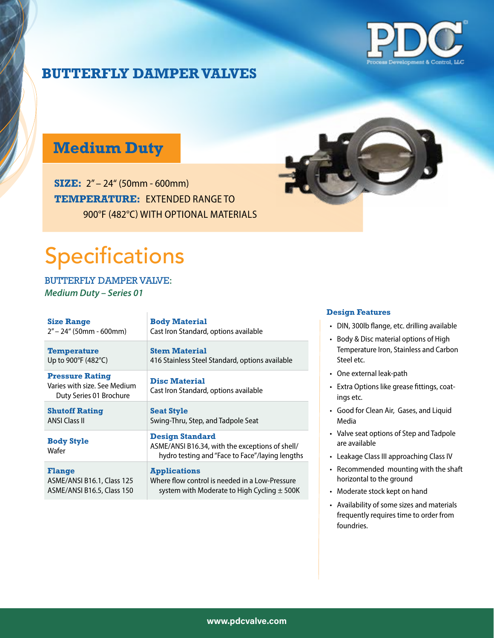

# **Medium Duty**

**SIZE:** 2" – 24" (50mm - 600mm) **TEMPERATURE:** EXTENDED RANGE TO 900°F (482°C) WITH OPTIONAL MATERIALS



# Specifications

BUTTERFLY DAMPER VALVE: *Medium Duty – Series 01*

| <b>Size Range</b>                                                                 | <b>Body Material</b>                                                                                                         |
|-----------------------------------------------------------------------------------|------------------------------------------------------------------------------------------------------------------------------|
| $2"$ – 24" (50mm - 600mm)                                                         | Cast Iron Standard, options available                                                                                        |
| <b>Temperature</b>                                                                | <b>Stem Material</b>                                                                                                         |
| Up to 900°F (482°C)                                                               | 416 Stainless Steel Standard, options available                                                                              |
| <b>Pressure Rating</b><br>Varies with size. See Medium<br>Duty Series 01 Brochure | <b>Disc Material</b><br>Cast Iron Standard, options available                                                                |
| <b>Shutoff Rating</b>                                                             | <b>Seat Style</b>                                                                                                            |
| <b>ANSI Class II</b>                                                              | Swing-Thru, Step, and Tadpole Seat                                                                                           |
| <b>Body Style</b><br>Wafer                                                        | <b>Design Standard</b><br>ASME/ANSI B16.34, with the exceptions of shell/<br>hydro testing and "Face to Face"/laying lengths |
| <b>Flange</b>                                                                     | <b>Applications</b>                                                                                                          |
| ASME/ANSI B16.1, Class 125                                                        | Where flow control is needed in a Low-Pressure                                                                               |
| ASME/ANSI B16.5, Class 150                                                        | system with Moderate to High Cycling $\pm$ 500K                                                                              |

- DIN, 300lb flange, etc. drilling available
- Body & Disc material options of High Temperature Iron, Stainless and Carbon Steel etc.
- One external leak-path
- Extra Options like grease fittings, coatings etc.
- Good for Clean Air, Gases, and Liquid Media
- Valve seat options of Step and Tadpole are available
- Leakage Class III approaching Class IV
- Recommended mounting with the shaft horizontal to the ground
- Moderate stock kept on hand
- Availability of some sizes and materials frequently requires time to order from foundries.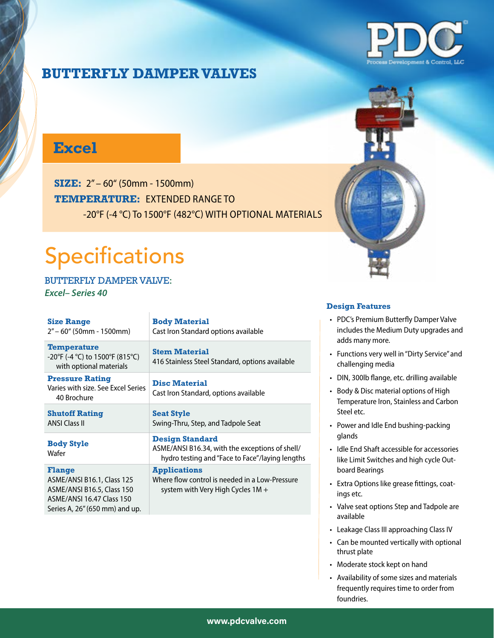

## **Excel**

**SIZE:** 2" – 60" (50mm - 1500mm) **TEMPERATURE:** EXTENDED RANGE TO -20°F (-4 °C) To 1500°F (482°C) WITH OPTIONAL MATERIALS

# Specifications

BUTTERFLY DAMPER VALVE: *Excel– Series 40*

| <b>Size Range</b><br>$2" - 60"$ (50mm - 1500mm)                                                                                                 | <b>Body Material</b><br>Cast Iron Standard options available                                                                 |
|-------------------------------------------------------------------------------------------------------------------------------------------------|------------------------------------------------------------------------------------------------------------------------------|
| <b>Temperature</b><br>-20°F (-4 °C) to 1500°F (815°C)<br>with optional materials                                                                | <b>Stem Material</b><br>416 Stainless Steel Standard, options available                                                      |
| <b>Pressure Rating</b><br>Varies with size. See Excel Series<br>40 Brochure                                                                     | <b>Disc Material</b><br>Cast Iron Standard, options available                                                                |
| <b>Shutoff Rating</b><br><b>ANSI Class II</b>                                                                                                   | <b>Seat Style</b><br>Swing-Thru, Step, and Tadpole Seat                                                                      |
| <b>Body Style</b><br>Wafer                                                                                                                      | <b>Design Standard</b><br>ASME/ANSI B16.34, with the exceptions of shell/<br>hydro testing and "Face to Face"/laying lengths |
| <b>Flange</b><br>ASME/ANSI B16.1, Class 125<br>ASME/ANSI B16.5, Class 150<br><b>ASME/ANSI 16.47 Class 150</b><br>Series A, 26" (650 mm) and up. | <b>Applications</b><br>Where flow control is needed in a Low-Pressure<br>system with Very High Cycles $1M +$                 |

- PDC's Premium Butterfly Damper Valve includes the Medium Duty upgrades and adds many more.
- Functions very well in "Dirty Service" and challenging media
- DIN, 300lb flange, etc. drilling available
- Body & Disc material options of High Temperature Iron, Stainless and Carbon Steel etc.
- Power and Idle End bushing-packing glands
- Idle End Shaft accessible for accessories like Limit Switches and high cycle Outboard Bearings
- Extra Options like grease fittings, coatings etc.
- Valve seat options Step and Tadpole are available
- Leakage Class III approaching Class IV
- Can be mounted vertically with optional thrust plate
- Moderate stock kept on hand
- Availability of some sizes and materials frequently requires time to order from foundries.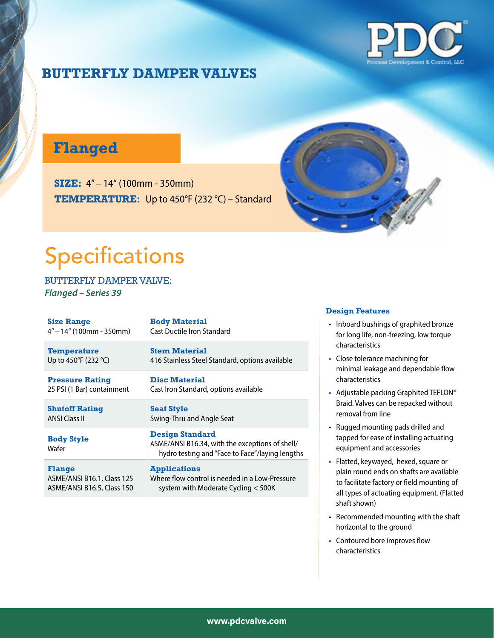

## **Flanged**

**SIZE:** 4" – 14" (100mm - 350mm) **TEMPERATURE:** Up to 450°F (232 °C) – Standard



# Specifications

BUTTERFLY DAMPER VALVE: *Flanged – Series 39*

| <b>Size Range</b>                       | <b>Body Material</b>                                                                                                         |
|-----------------------------------------|------------------------------------------------------------------------------------------------------------------------------|
| $4" - 14"$ (100mm - 350mm)              | Cast Ductile Iron Standard                                                                                                   |
| <b>Temperature</b>                      | <b>Stem Material</b>                                                                                                         |
| Up to 450 $\degree$ F (232 $\degree$ C) | 416 Stainless Steel Standard, options available                                                                              |
| <b>Pressure Rating</b>                  | <b>Disc Material</b>                                                                                                         |
| 25 PSI (1 Bar) containment              | Cast Iron Standard, options available                                                                                        |
| <b>Shutoff Rating</b>                   | <b>Seat Style</b>                                                                                                            |
| <b>ANSI Class II</b>                    | Swing-Thru and Angle Seat                                                                                                    |
| <b>Body Style</b><br>Wafer              | <b>Design Standard</b><br>ASME/ANSI B16.34, with the exceptions of shell/<br>hydro testing and "Face to Face"/laying lengths |
| <b>Flange</b>                           | <b>Applications</b>                                                                                                          |
| ASME/ANSI B16.1, Class 125              | Where flow control is needed in a Low-Pressure                                                                               |
| ASME/ANSI B16.5, Class 150              | system with Moderate Cycling < 500K                                                                                          |

- Inboard bushings of graphited bronze for long life, non-freezing, low torque characteristics
- Close tolerance machining for minimal leakage and dependable flow characteristics
- Adjustable packing Graphited TEFLON® Braid. Valves can be repacked without removal from line
- Rugged mounting pads drilled and tapped for ease of installing actuating equipment and accessories
- Flatted, keywayed, hexed, square or plain round ends on shafts are available to facilitate factory or field mounting of all types of actuating equipment. (Flatted shaft shown)
- Recommended mounting with the shaft horizontal to the ground
- Contoured bore improves flow characteristics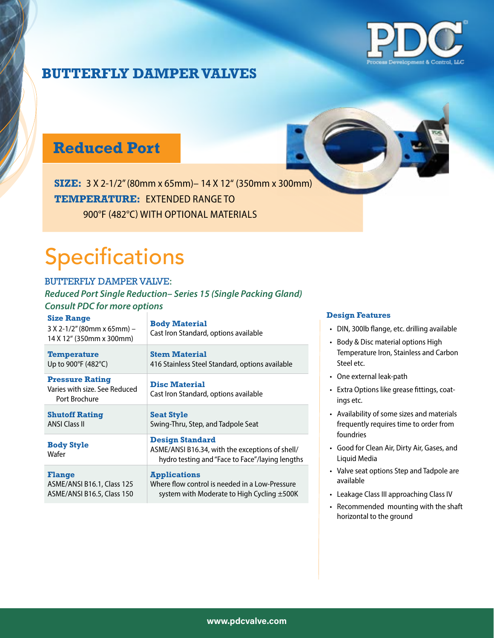

## **Reduced Port**

**SIZE:** 3 X 2-1/2" (80mm x 65mm)– 14 X 12" (350mm x 300mm) **TEMPERATURE:** EXTENDED RANGE TO 900°F (482°C) WITH OPTIONAL MATERIALS

# Specifications

### BUTTERFLY DAMPER VALVE:

### *Reduced Port Single Reduction– Series 15 (Single Packing Gland) Consult PDC for more options*

| <b>Body Material</b><br>Cast Iron Standard, options available                                                                |
|------------------------------------------------------------------------------------------------------------------------------|
| <b>Stem Material</b><br>416 Stainless Steel Standard, options available                                                      |
| <b>Disc Material</b><br>Cast Iron Standard, options available                                                                |
| <b>Seat Style</b>                                                                                                            |
| Swing-Thru, Step, and Tadpole Seat                                                                                           |
| <b>Design Standard</b><br>ASME/ANSI B16.34, with the exceptions of shell/<br>hydro testing and "Face to Face"/laying lengths |
|                                                                                                                              |

- DIN, 300lb flange, etc. drilling available
- Body & Disc material options High Temperature Iron, Stainless and Carbon Steel etc.
- One external leak-path
- Extra Options like grease fittings, coatings etc.
- Availability of some sizes and materials frequently requires time to order from foundries
- Good for Clean Air, Dirty Air, Gases, and Liquid Media
- Valve seat options Step and Tadpole are available
- Leakage Class III approaching Class IV
- Recommended mounting with the shaft horizontal to the ground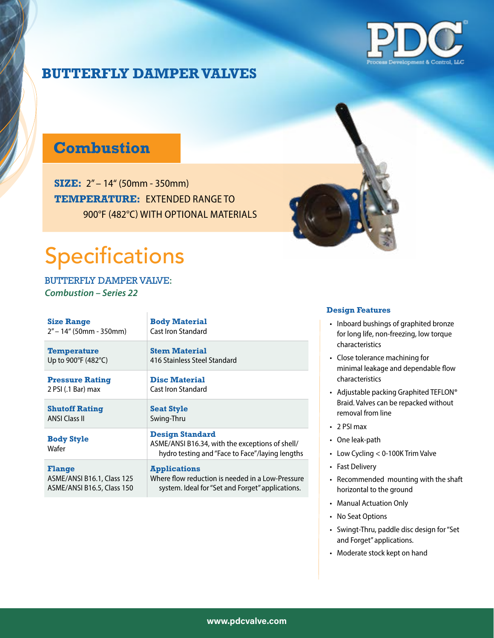

# **Combustion**

**SIZE:** 2" – 14" (50mm - 350mm) **TEMPERATURE:** EXTENDED RANGE TO 900°F (482°C) WITH OPTIONAL MATERIALS

# Specifications

BUTTERFLY DAMPER VALVE: *Combustion – Series 22*

| <b>Size Range</b>          | <b>Body Material</b>                                                                                                         |
|----------------------------|------------------------------------------------------------------------------------------------------------------------------|
| $2" - 14"$ (50mm - 350mm)  | Cast Iron Standard                                                                                                           |
| <b>Temperature</b>         | <b>Stem Material</b>                                                                                                         |
| Up to 900°F (482°C)        | 416 Stainless Steel Standard                                                                                                 |
| <b>Pressure Rating</b>     | <b>Disc Material</b>                                                                                                         |
| 2 PSI (.1 Bar) max         | Cast Iron Standard                                                                                                           |
| <b>Shutoff Rating</b>      | <b>Seat Style</b>                                                                                                            |
| <b>ANSI Class II</b>       | Swing-Thru                                                                                                                   |
| <b>Body Style</b><br>Wafer | <b>Design Standard</b><br>ASME/ANSI B16.34, with the exceptions of shell/<br>hydro testing and "Face to Face"/laying lengths |
| <b>Flange</b>              | <b>Applications</b>                                                                                                          |
| ASME/ANSI B16.1, Class 125 | Where flow reduction is needed in a Low-Pressure                                                                             |
| ASME/ANSI B16.5, Class 150 | system. Ideal for "Set and Forget" applications.                                                                             |



- Inboard bushings of graphited bronze for long life, non-freezing, low torque characteristics
- Close tolerance machining for minimal leakage and dependable flow characteristics
- Adjustable packing Graphited TEFLON® Braid. Valves can be repacked without removal from line
- 2 PSI max
- One leak-path
- Low Cycling < 0-100K Trim Valve
- Fast Delivery
- Recommended mounting with the shaft horizontal to the ground
- Manual Actuation Only
- No Seat Options
- Swingt-Thru, paddle disc design for "Set and Forget" applications.
- Moderate stock kept on hand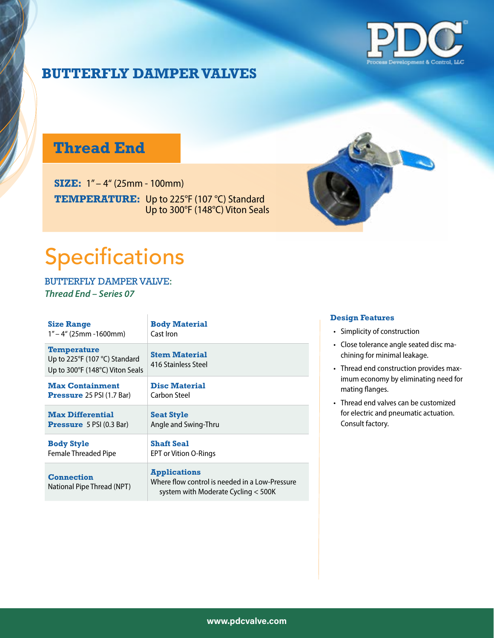

## **Thread End**

**SIZE:** 1" – 4" (25mm - 100mm) **TEMPERATURE:** Up to 225°F (107 °C) Standard Up to 300°F (148°C) Viton Seals



# Specifications

BUTTERFLY DAMPER VALVE: *Thread End – Series 07*

| <b>Size Range</b>                                                                                    | <b>Body Material</b>                                                                                         |
|------------------------------------------------------------------------------------------------------|--------------------------------------------------------------------------------------------------------------|
| $1" - 4"$ (25mm -1600mm)                                                                             | Cast Iron                                                                                                    |
| <b>Temperature</b><br>Up to $225^{\circ}F(107^{\circ}C)$ Standard<br>Up to 300°F (148°C) Viton Seals | <b>Stem Material</b><br>416 Stainless Steel                                                                  |
| <b>Max Containment</b>                                                                               | <b>Disc Material</b>                                                                                         |
| <b>Pressure</b> 25 PSI $(1.7$ Bar)                                                                   | Carbon Steel                                                                                                 |
| <b>Max Differential</b>                                                                              | <b>Seat Style</b>                                                                                            |
| <b>Pressure</b> $5$ PSI (0.3 Bar)                                                                    | Angle and Swing-Thru                                                                                         |
| <b>Body Style</b>                                                                                    | <b>Shaft Seal</b>                                                                                            |
| <b>Female Threaded Pipe</b>                                                                          | <b>EPT or Vition O-Rings</b>                                                                                 |
| <b>Connection</b><br>National Pipe Thread (NPT)                                                      | <b>Applications</b><br>Where flow control is needed in a Low-Pressure<br>system with Moderate Cycling < 500K |

- Simplicity of construction
- Close tolerance angle seated disc machining for minimal leakage.
- Thread end construction provides maximum economy by eliminating need for mating flanges.
- Thread end valves can be customized for electric and pneumatic actuation. Consult factory.